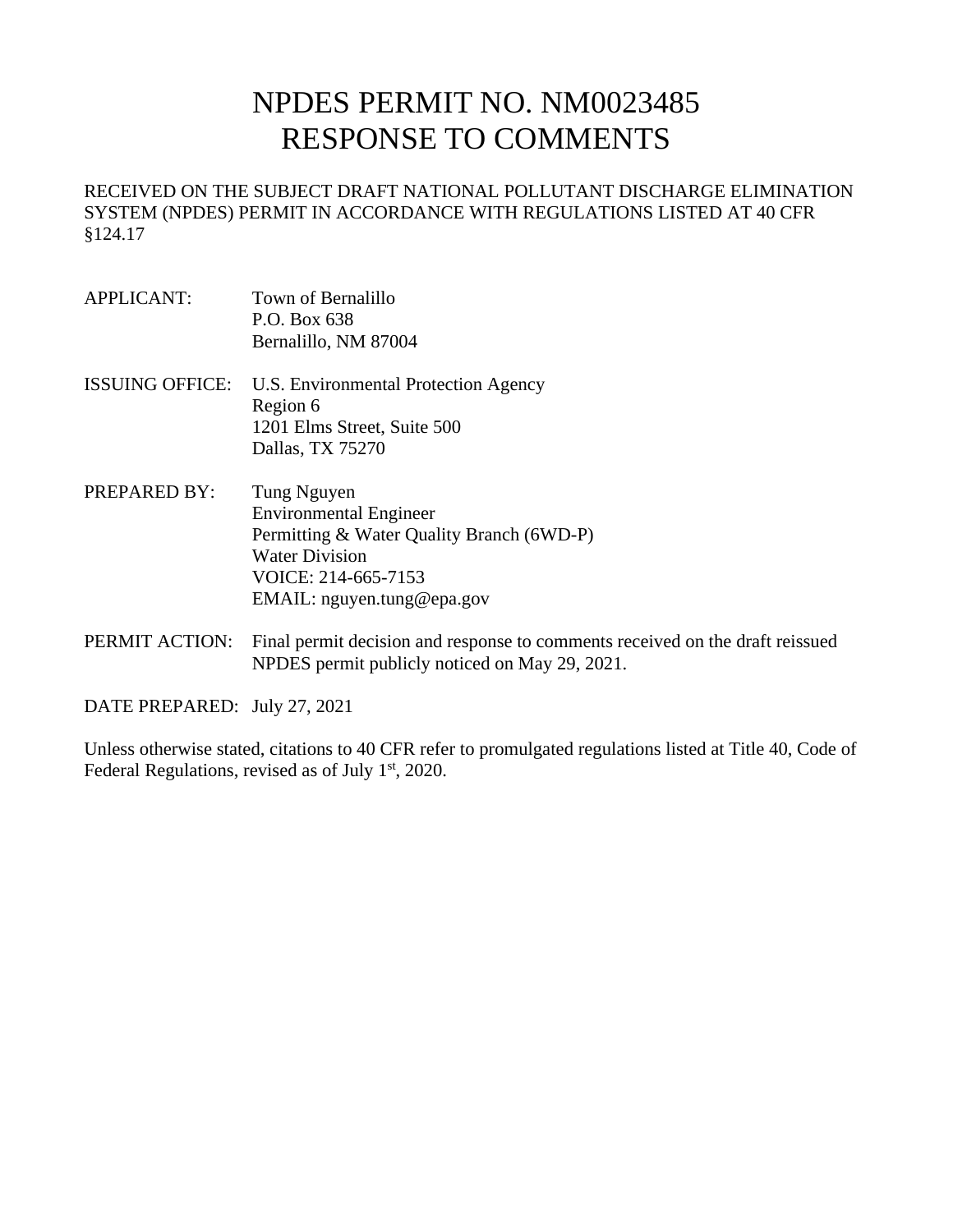# NPDES PERMIT NO. NM0023485 RESPONSE TO COMMENTS

RECEIVED ON THE SUBJECT DRAFT NATIONAL POLLUTANT DISCHARGE ELIMINATION SYSTEM (NPDES) PERMIT IN ACCORDANCE WITH REGULATIONS LISTED AT 40 CFR §124.17

- APPLICANT: Town of Bernalillo P.O. Box 638 Bernalillo, NM 87004
- ISSUING OFFICE: U.S. Environmental Protection Agency Region 6 1201 Elms Street, Suite 500 Dallas, TX 75270
- PREPARED BY: Tung Nguyen Environmental Engineer Permitting & Water Quality Branch (6WD-P) Water Division VOICE: 214-665-7153 EMAIL: nguyen.tung@epa.gov
- PERMIT ACTION: Final permit decision and response to comments received on the draft reissued NPDES permit publicly noticed on May 29, 2021.

DATE PREPARED: July 27, 2021

Unless otherwise stated, citations to 40 CFR refer to promulgated regulations listed at Title 40, Code of Federal Regulations, revised as of July  $1<sup>st</sup>$ , 2020.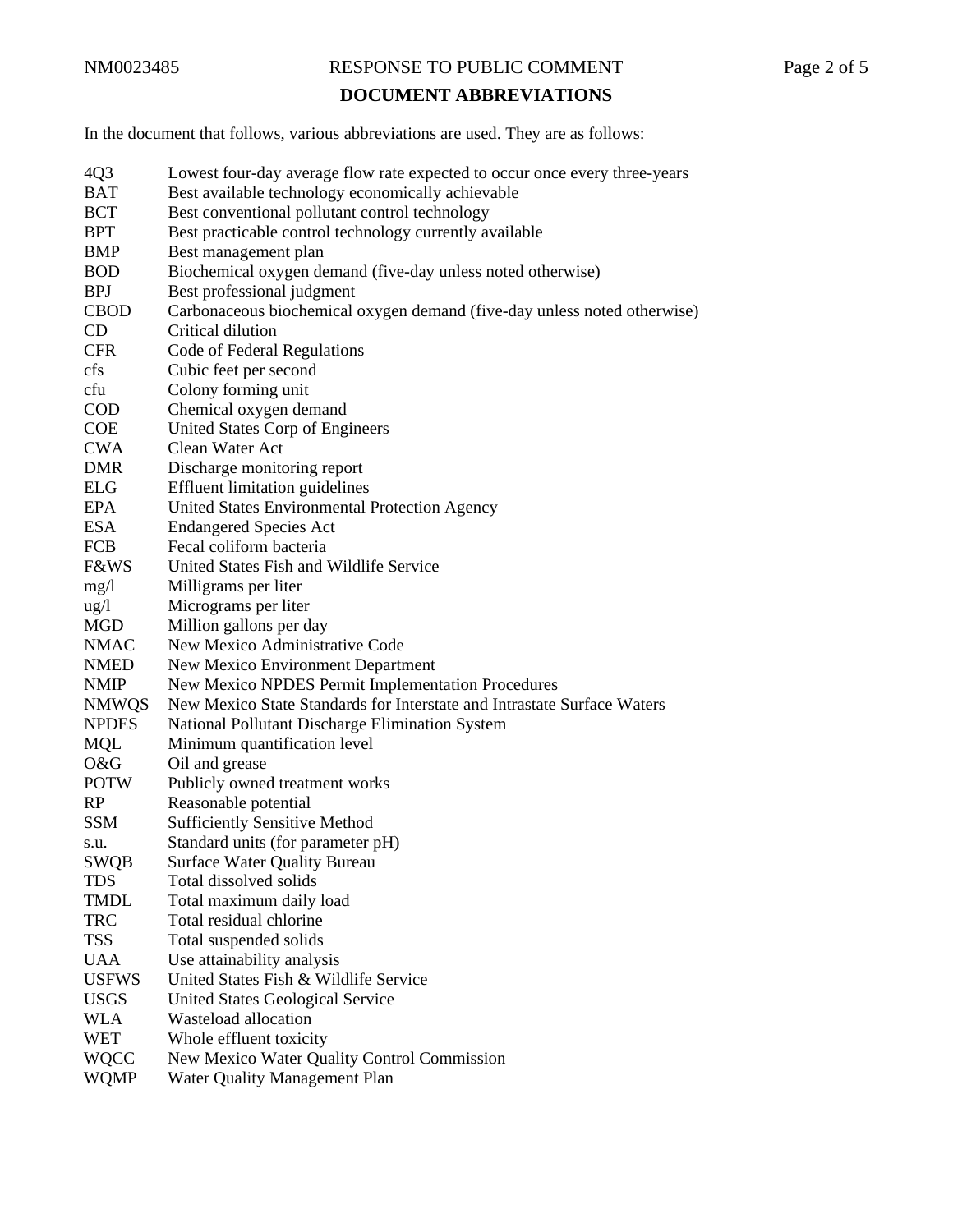# NM0023485 RESPONSE TO PUBLIC COMMENT Page 2 of 5

# **DOCUMENT ABBREVIATIONS**

In the document that follows, various abbreviations are used. They are as follows:

| 4Q3             | Lowest four-day average flow rate expected to occur once every three-years |
|-----------------|----------------------------------------------------------------------------|
| <b>BAT</b>      | Best available technology economically achievable                          |
| <b>BCT</b>      | Best conventional pollutant control technology                             |
| <b>BPT</b>      | Best practicable control technology currently available                    |
| <b>BMP</b>      | Best management plan                                                       |
| <b>BOD</b>      | Biochemical oxygen demand (five-day unless noted otherwise)                |
| <b>BPJ</b>      | Best professional judgment                                                 |
| <b>CBOD</b>     | Carbonaceous biochemical oxygen demand (five-day unless noted otherwise)   |
| CD              | Critical dilution                                                          |
| <b>CFR</b>      | Code of Federal Regulations                                                |
| cfs             | Cubic feet per second                                                      |
| cfu             | Colony forming unit                                                        |
| <b>COD</b>      | Chemical oxygen demand                                                     |
| <b>COE</b>      | United States Corp of Engineers                                            |
| <b>CWA</b>      | Clean Water Act                                                            |
| <b>DMR</b>      | Discharge monitoring report                                                |
| <b>ELG</b>      | <b>Effluent limitation guidelines</b>                                      |
| <b>EPA</b>      | United States Environmental Protection Agency                              |
| <b>ESA</b>      | <b>Endangered Species Act</b>                                              |
| <b>FCB</b>      | Fecal coliform bacteria                                                    |
| <b>F&amp;WS</b> | United States Fish and Wildlife Service                                    |
| mg/1            | Milligrams per liter                                                       |
| $\frac{u g}{l}$ | Micrograms per liter                                                       |
| <b>MGD</b>      | Million gallons per day                                                    |
| <b>NMAC</b>     | New Mexico Administrative Code                                             |
| <b>NMED</b>     | New Mexico Environment Department                                          |
| <b>NMIP</b>     | New Mexico NPDES Permit Implementation Procedures                          |
| <b>NMWQS</b>    | New Mexico State Standards for Interstate and Intrastate Surface Waters    |
| <b>NPDES</b>    | National Pollutant Discharge Elimination System                            |
| <b>MQL</b>      | Minimum quantification level                                               |
| O&G             | Oil and grease                                                             |
| <b>POTW</b>     | Publicly owned treatment works                                             |
| RP              | Reasonable potential                                                       |
| <b>SSM</b>      | <b>Sufficiently Sensitive Method</b>                                       |
| s.u.            | Standard units (for parameter pH)                                          |
| <b>SWQB</b>     | <b>Surface Water Quality Bureau</b>                                        |
| TDS             | Total dissolved solids                                                     |
| <b>TMDL</b>     | Total maximum daily load                                                   |
| <b>TRC</b>      | Total residual chlorine                                                    |
| <b>TSS</b>      | Total suspended solids                                                     |
| <b>UAA</b>      | Use attainability analysis                                                 |
| <b>USFWS</b>    | United States Fish & Wildlife Service                                      |
| <b>USGS</b>     | United States Geological Service                                           |
| <b>WLA</b>      | Wasteload allocation                                                       |
| <b>WET</b>      | Whole effluent toxicity                                                    |
| <b>WQCC</b>     | New Mexico Water Quality Control Commission                                |
| <b>WQMP</b>     | Water Quality Management Plan                                              |
|                 |                                                                            |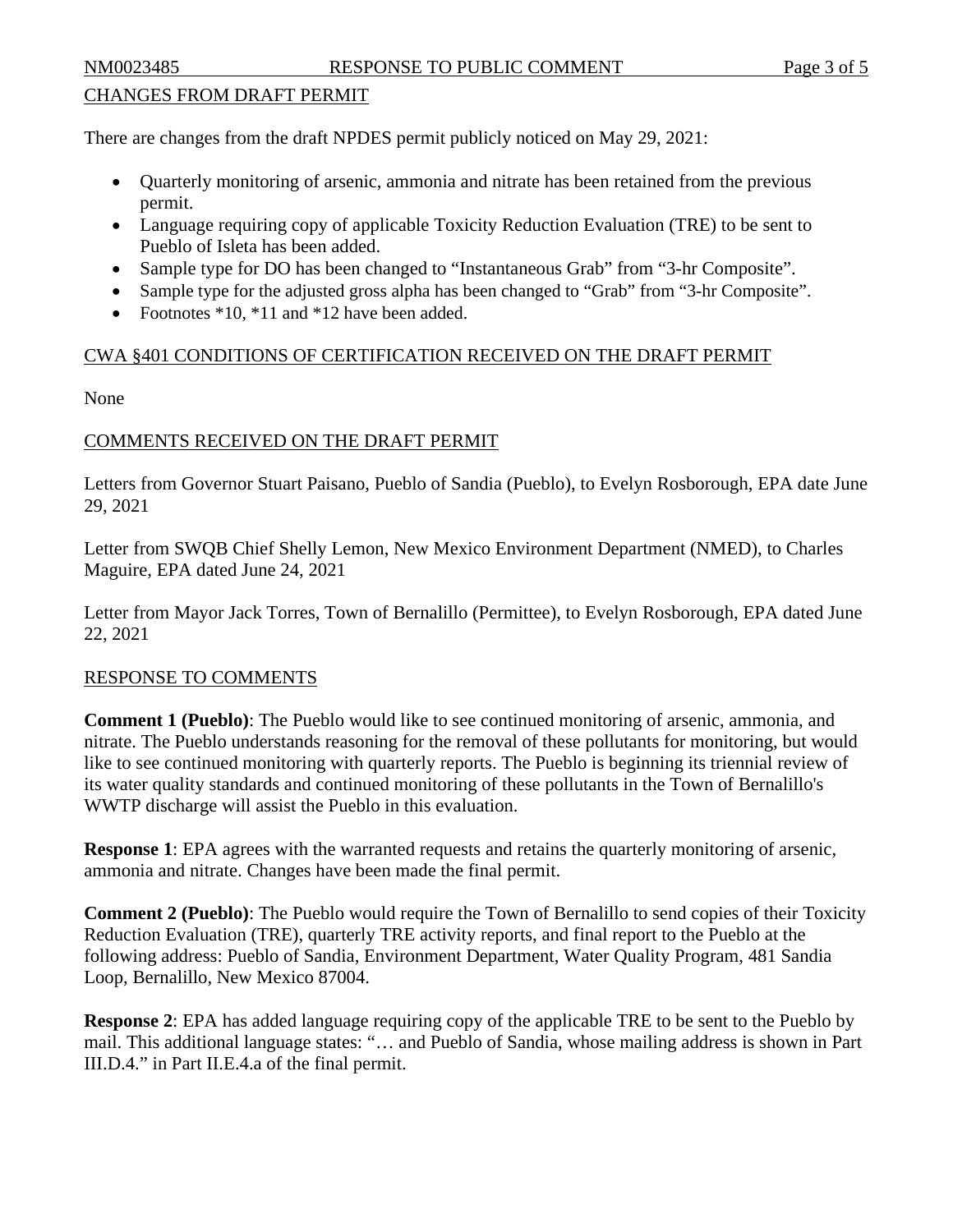### CHANGES FROM DRAFT PERMIT

There are changes from the draft NPDES permit publicly noticed on May 29, 2021:

- Quarterly monitoring of arsenic, ammonia and nitrate has been retained from the previous permit.
- Language requiring copy of applicable Toxicity Reduction Evaluation (TRE) to be sent to Pueblo of Isleta has been added.
- Sample type for DO has been changed to "Instantaneous Grab" from "3-hr Composite".
- Sample type for the adjusted gross alpha has been changed to "Grab" from "3-hr Composite".
- Footnotes \*10, \*11 and \*12 have been added.

### CWA §401 CONDITIONS OF CERTIFICATION RECEIVED ON THE DRAFT PERMIT

None

## COMMENTS RECEIVED ON THE DRAFT PERMIT

Letters from Governor Stuart Paisano, Pueblo of Sandia (Pueblo), to Evelyn Rosborough, EPA date June 29, 2021

Letter from SWQB Chief Shelly Lemon, New Mexico Environment Department (NMED), to Charles Maguire, EPA dated June 24, 2021

Letter from Mayor Jack Torres, Town of Bernalillo (Permittee), to Evelyn Rosborough, EPA dated June 22, 2021

### RESPONSE TO COMMENTS

**Comment 1 (Pueblo)**: The Pueblo would like to see continued monitoring of arsenic, ammonia, and nitrate. The Pueblo understands reasoning for the removal of these pollutants for monitoring, but would like to see continued monitoring with quarterly reports. The Pueblo is beginning its triennial review of its water quality standards and continued monitoring of these pollutants in the Town of Bernalillo's WWTP discharge will assist the Pueblo in this evaluation.

**Response 1:** EPA agrees with the warranted requests and retains the quarterly monitoring of arsenic, ammonia and nitrate. Changes have been made the final permit.

**Comment 2 (Pueblo)**: The Pueblo would require the Town of Bernalillo to send copies of their Toxicity Reduction Evaluation (TRE), quarterly TRE activity reports, and final report to the Pueblo at the following address: Pueblo of Sandia, Environment Department, Water Quality Program, 481 Sandia Loop, Bernalillo, New Mexico 87004.

**Response 2**: EPA has added language requiring copy of the applicable TRE to be sent to the Pueblo by mail. This additional language states: "… and Pueblo of Sandia, whose mailing address is shown in Part III.D.4." in Part II.E.4.a of the final permit.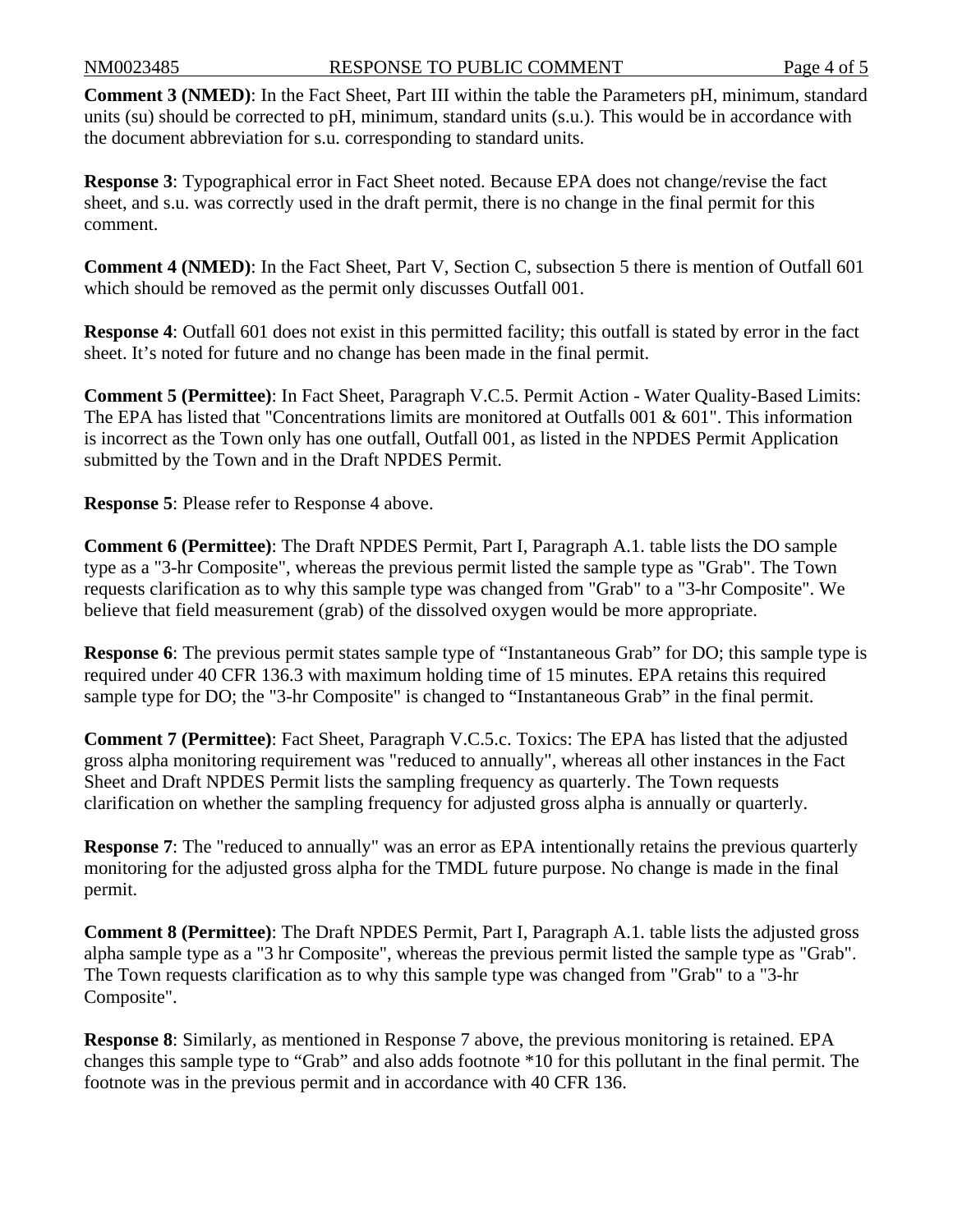**Comment 3 (NMED)**: In the Fact Sheet, Part III within the table the Parameters pH, minimum, standard units (su) should be corrected to pH, minimum, standard units (s.u.). This would be in accordance with the document abbreviation for s.u. corresponding to standard units.

**Response 3**: Typographical error in Fact Sheet noted. Because EPA does not change/revise the fact sheet, and s.u. was correctly used in the draft permit, there is no change in the final permit for this comment.

**Comment 4 (NMED)**: In the Fact Sheet, Part V, Section C, subsection 5 there is mention of Outfall 601 which should be removed as the permit only discusses Outfall 001.

**Response 4**: Outfall 601 does not exist in this permitted facility; this outfall is stated by error in the fact sheet. It's noted for future and no change has been made in the final permit.

**Comment 5 (Permittee)**: In Fact Sheet, Paragraph V.C.5. Permit Action - Water Quality-Based Limits: The EPA has listed that "Concentrations limits are monitored at Outfalls 001 & 601". This information is incorrect as the Town only has one outfall, Outfall 001, as listed in the NPDES Permit Application submitted by the Town and in the Draft NPDES Permit.

**Response 5**: Please refer to Response 4 above.

**Comment 6 (Permittee)**: The Draft NPDES Permit, Part I, Paragraph A.1. table lists the DO sample type as a "3-hr Composite", whereas the previous permit listed the sample type as "Grab". The Town requests clarification as to why this sample type was changed from "Grab" to a "3-hr Composite". We believe that field measurement (grab) of the dissolved oxygen would be more appropriate.

**Response 6:** The previous permit states sample type of "Instantaneous Grab" for DO; this sample type is required under 40 CFR 136.3 with maximum holding time of 15 minutes. EPA retains this required sample type for DO; the "3-hr Composite" is changed to "Instantaneous Grab" in the final permit.

**Comment 7 (Permittee)**: Fact Sheet, Paragraph V.C.5.c. Toxics: The EPA has listed that the adjusted gross alpha monitoring requirement was "reduced to annually", whereas all other instances in the Fact Sheet and Draft NPDES Permit lists the sampling frequency as quarterly. The Town requests clarification on whether the sampling frequency for adjusted gross alpha is annually or quarterly.

**Response** 7: The "reduced to annually" was an error as EPA intentionally retains the previous quarterly monitoring for the adjusted gross alpha for the TMDL future purpose. No change is made in the final permit.

**Comment 8 (Permittee)**: The Draft NPDES Permit, Part I, Paragraph A.1. table lists the adjusted gross alpha sample type as a "3 hr Composite", whereas the previous permit listed the sample type as "Grab". The Town requests clarification as to why this sample type was changed from "Grab" to a "3-hr Composite".

**Response 8**: Similarly, as mentioned in Response 7 above, the previous monitoring is retained. EPA changes this sample type to "Grab" and also adds footnote \*10 for this pollutant in the final permit. The footnote was in the previous permit and in accordance with 40 CFR 136.